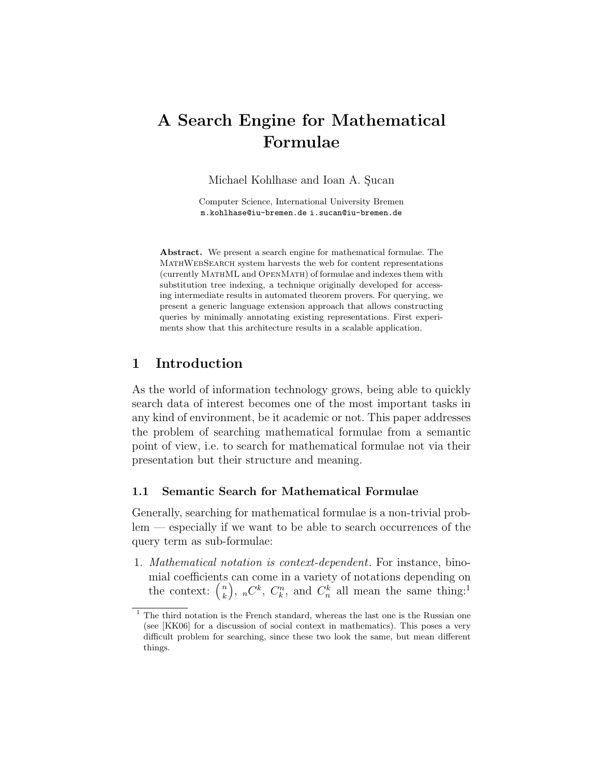# A Search Engine for Mathematical Formulae

Michael Kohlhase and Ioan A. Sucan

Computer Science, International University Bremen m.kohlhase@iu-bremen.de i.sucan@iu-bremen.de

Abstract. We present a search engine for mathematical formulae. The MathWebSearch system harvests the web for content representations (currently MathML and OpenMath) of formulae and indexes them with substitution tree indexing, a technique originally developed for accessing intermediate results in automated theorem provers. For querying, we present a generic language extension approach that allows constructing queries by minimally annotating existing representations. First experiments show that this architecture results in a scalable application.

### 1 Introduction

As the world of information technology grows, being able to quickly search data of interest becomes one of the most important tasks in any kind of environment, be it academic or not. This paper addresses the problem of searching mathematical formulae from a semantic point of view, i.e. to search for mathematical formulae not via their presentation but their structure and meaning.

### 1.1 Semantic Search for Mathematical Formulae

Generally, searching for mathematical formulae is a non-trivial problem — especially if we want to be able to search occurrences of the query term as sub-formulae:

1. Mathematical notation is context-dependent. For instance, binomial coefficients can come in a variety of notations depending on the context:  $\binom{n}{k}$ k ),  ${}_{n}C^{k}$ ,  $C_{k}^{n}$ , and  $C_{n}^{k}$  all mean the same thing:<sup>1</sup>

 $1$  The third notation is the French standard, whereas the last one is the Russian one (see [KK06] for a discussion of social context in mathematics). This poses a very difficult problem for searching, since these two look the same, but mean different things.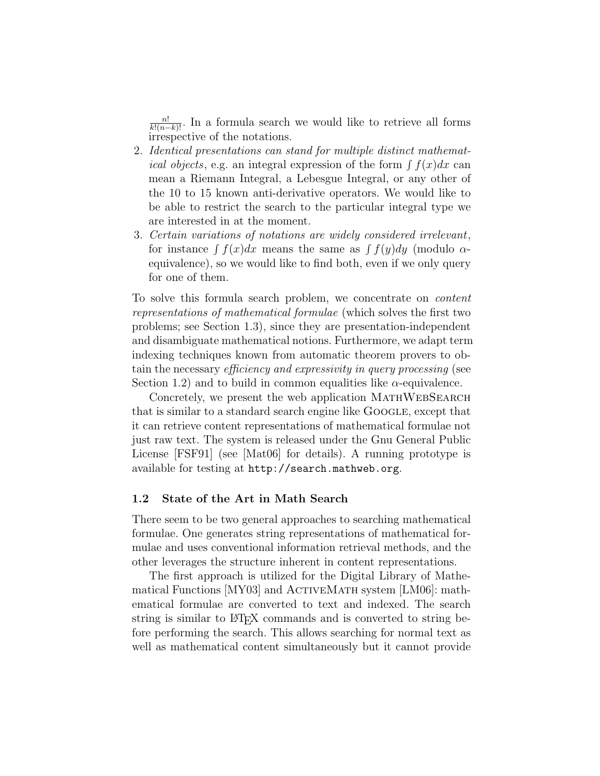$\frac{n!}{k!(n-k)!}$ . In a formula search we would like to retrieve all forms irrespective of the notations.

- 2. Identical presentations can stand for multiple distinct mathemat*ical objects*, e.g. an integral expression of the form  $\int f(x)dx$  can mean a Riemann Integral, a Lebesgue Integral, or any other of the 10 to 15 known anti-derivative operators. We would like to be able to restrict the search to the particular integral type we are interested in at the moment.
- 3. Certain variations of notations are widely considered irrelevant, for instance  $\int f(x)dx$  means the same as  $\int f(y)dy$  (modulo  $\alpha$ equivalence), so we would like to find both, even if we only query for one of them.

To solve this formula search problem, we concentrate on content representations of mathematical formulae (which solves the first two problems; see Section 1.3), since they are presentation-independent and disambiguate mathematical notions. Furthermore, we adapt term indexing techniques known from automatic theorem provers to obtain the necessary efficiency and expressivity in query processing (see Section 1.2) and to build in common equalities like  $\alpha$ -equivalence.

Concretely, we present the web application MATHWEBSEARCH that is similar to a standard search engine like GOOGLE, except that it can retrieve content representations of mathematical formulae not just raw text. The system is released under the Gnu General Public License [FSF91] (see [Mat06] for details). A running prototype is available for testing at http://search.mathweb.org.

### 1.2 State of the Art in Math Search

There seem to be two general approaches to searching mathematical formulae. One generates string representations of mathematical formulae and uses conventional information retrieval methods, and the other leverages the structure inherent in content representations.

The first approach is utilized for the Digital Library of Mathematical Functions [MY03] and ACTIVEMATH system [LM06]: mathematical formulae are converted to text and indexed. The search string is similar to LAT<sub>EX</sub> commands and is converted to string before performing the search. This allows searching for normal text as well as mathematical content simultaneously but it cannot provide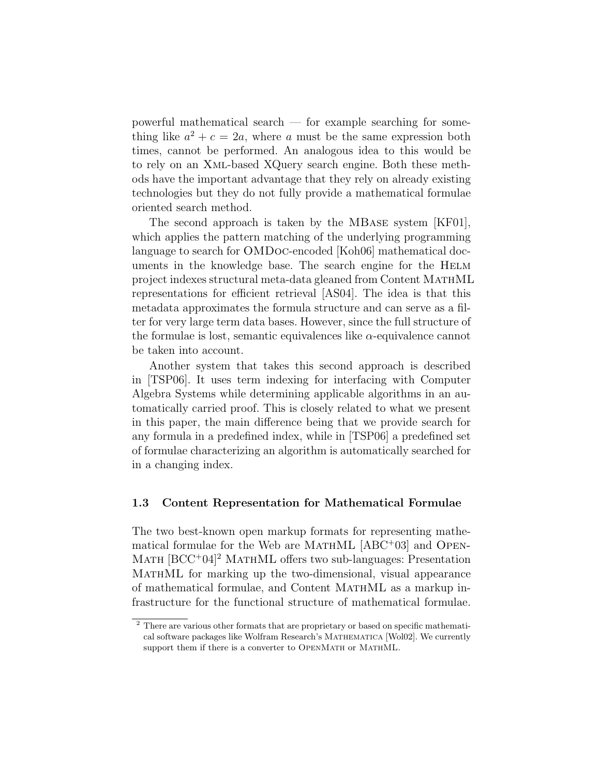powerful mathematical search — for example searching for something like  $a^2 + c = 2a$ , where a must be the same expression both times, cannot be performed. An analogous idea to this would be to rely on an Xml-based XQuery search engine. Both these methods have the important advantage that they rely on already existing technologies but they do not fully provide a mathematical formulae oriented search method.

The second approach is taken by the MBase system [KF01], which applies the pattern matching of the underlying programming language to search for OMDoc-encoded [Koh06] mathematical documents in the knowledge base. The search engine for the HELM project indexes structural meta-data gleaned from Content MATHML representations for efficient retrieval [AS04]. The idea is that this metadata approximates the formula structure and can serve as a filter for very large term data bases. However, since the full structure of the formulae is lost, semantic equivalences like  $\alpha$ -equivalence cannot be taken into account.

Another system that takes this second approach is described in [TSP06]. It uses term indexing for interfacing with Computer Algebra Systems while determining applicable algorithms in an automatically carried proof. This is closely related to what we present in this paper, the main difference being that we provide search for any formula in a predefined index, while in [TSP06] a predefined set of formulae characterizing an algorithm is automatically searched for in a changing index.

### 1.3 Content Representation for Mathematical Formulae

The two best-known open markup formats for representing mathematical formulae for the Web are MATHML [ABC<sup>+</sup>03] and OPEN-MATH [BCC<sup>+</sup>04]<sup>2</sup> MATHML offers two sub-languages: Presentation MathML for marking up the two-dimensional, visual appearance of mathematical formulae, and Content MATHML as a markup infrastructure for the functional structure of mathematical formulae.

<sup>2</sup> There are various other formats that are proprietary or based on specific mathematical software packages like Wolfram Research's Mathematica [Wol02]. We currently support them if there is a converter to OPENMATH or MATHML.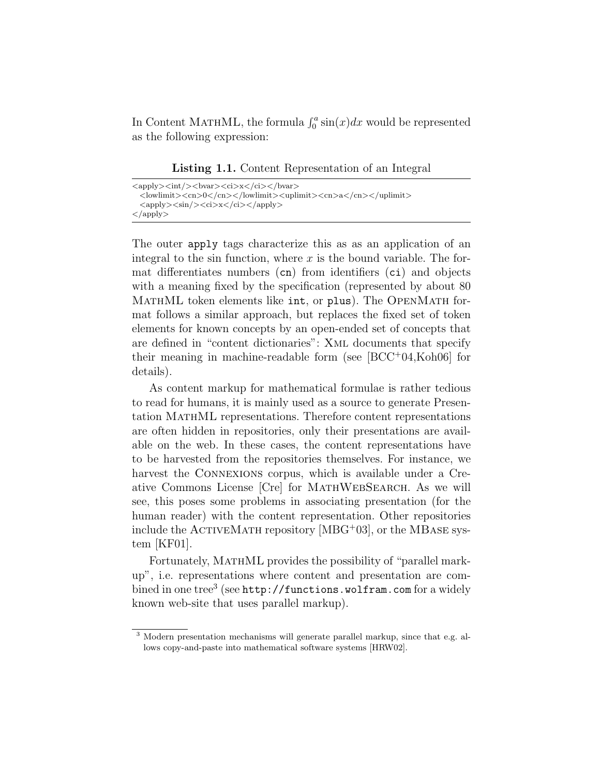In Content MATHML, the formula  $\int_0^a \sin(x) dx$  would be represented as the following expression:

Listing 1.1. Content Representation of an Integral

```
\langle \text{apply}\rangle\langle \text{int}/\rangle\langle \text{bvar}\rangle\langle \text{ciz}\rangle\langle \text{ciz}\rangle\langle \text{bvar}\rangle<lowlimit><cn>0</cn></lowlimit><uplimit><<n></cn></uplimit>
  \langle \text{apply}\rangle \langle \text{sin}/\rangle \langle \text{ci}\rangle \langle \text{c}i\rangle \langle \langle \text{apply}\rangle\langle/apply\rangle
```
The outer apply tags characterize this as as an application of an integral to the sin function, where  $x$  is the bound variable. The format differentiates numbers (cn) from identifiers (ci) and objects with a meaning fixed by the specification (represented by about 80) MATHML token elements like int, or plus). The OPENMATH format follows a similar approach, but replaces the fixed set of token elements for known concepts by an open-ended set of concepts that are defined in "content dictionaries": Xml documents that specify their meaning in machine-readable form (see [BCC<sup>+</sup>04,Koh06] for details).

As content markup for mathematical formulae is rather tedious to read for humans, it is mainly used as a source to generate Presentation MathML representations. Therefore content representations are often hidden in repositories, only their presentations are available on the web. In these cases, the content representations have to be harvested from the repositories themselves. For instance, we harvest the CONNEXIONS corpus, which is available under a Creative Commons License [Cre] for MathWebSearch. As we will see, this poses some problems in associating presentation (for the human reader) with the content representation. Other repositories include the ACTIVEMATH repository  $[MBG^+03]$ , or the MBASE system [KF01].

Fortunately, MATHML provides the possibility of "parallel markup", i.e. representations where content and presentation are combined in one tree $^3$  (see <code>http://functions.wolfram.com</code> for a widely known web-site that uses parallel markup).

<sup>3</sup> Modern presentation mechanisms will generate parallel markup, since that e.g. allows copy-and-paste into mathematical software systems [HRW02].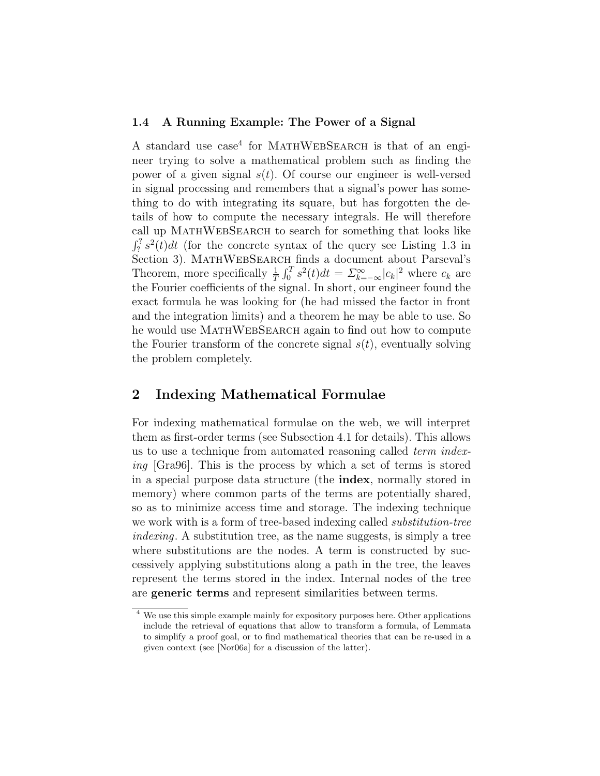### 1.4 A Running Example: The Power of a Signal

A standard use case<sup>4</sup> for MATHWEBSEARCH is that of an engineer trying to solve a mathematical problem such as finding the power of a given signal  $s(t)$ . Of course our engineer is well-versed in signal processing and remembers that a signal's power has something to do with integrating its square, but has forgotten the details of how to compute the necessary integrals. He will therefore call up MATHWEBSEARCH to search for something that looks like  $\int_2^2 s^2(t)dt$  (for the concrete syntax of the query see Listing 1.3 in Section 3). MATHWEBSEARCH finds a document about Parseval's Theorem, more specifically  $\frac{1}{T} \int_0^T s^2(t) dt = \sum_{k=-\infty}^{\infty} |c_k|^2$  where  $c_k$  are the Fourier coefficients of the signal. In short, our engineer found the exact formula he was looking for (he had missed the factor in front and the integration limits) and a theorem he may be able to use. So he would use MATHWEBSEARCH again to find out how to compute the Fourier transform of the concrete signal  $s(t)$ , eventually solving the problem completely.

## 2 Indexing Mathematical Formulae

For indexing mathematical formulae on the web, we will interpret them as first-order terms (see Subsection 4.1 for details). This allows us to use a technique from automated reasoning called term indexing [Gra96]. This is the process by which a set of terms is stored in a special purpose data structure (the index, normally stored in memory) where common parts of the terms are potentially shared, so as to minimize access time and storage. The indexing technique we work with is a form of tree-based indexing called substitution-tree indexing. A substitution tree, as the name suggests, is simply a tree where substitutions are the nodes. A term is constructed by successively applying substitutions along a path in the tree, the leaves represent the terms stored in the index. Internal nodes of the tree are generic terms and represent similarities between terms.

<sup>4</sup> We use this simple example mainly for expository purposes here. Other applications include the retrieval of equations that allow to transform a formula, of Lemmata to simplify a proof goal, or to find mathematical theories that can be re-used in a given context (see [Nor06a] for a discussion of the latter).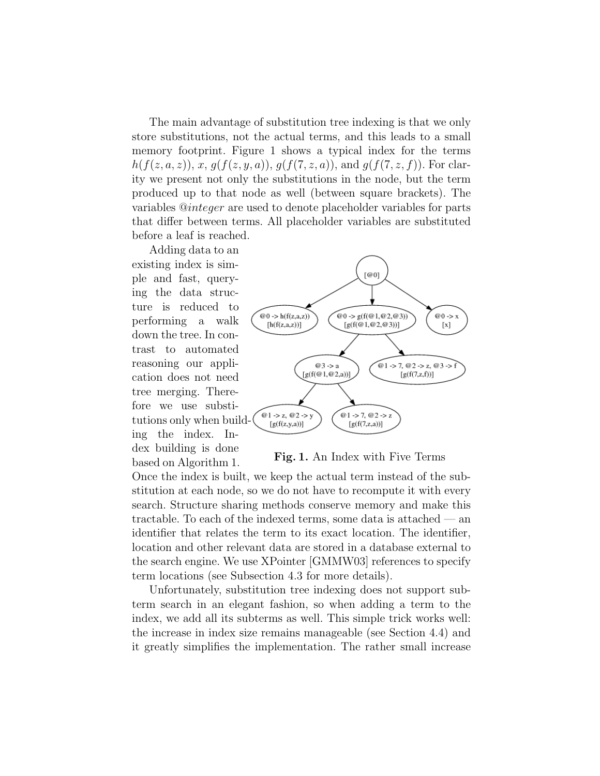The main advantage of substitution tree indexing is that we only store substitutions, not the actual terms, and this leads to a small memory footprint. Figure 1 shows a typical index for the terms  $h(f(z, a, z)), x, q(f(z, y, a)), q(f(7, z, a)),$  and  $q(f(7, z, f)).$  For clarity we present not only the substitutions in the node, but the term produced up to that node as well (between square brackets). The variables @integer are used to denote placeholder variables for parts that differ between terms. All placeholder variables are substituted before a leaf is reached.

Adding data to an existing index is simple and fast, querying the data structure is reduced to performing a walk down the tree. In contrast to automated reasoning our application does not need tree merging. Therefore we use substitutions only when build ing the index. Index building is done based on Algorithm 1.



Fig. 1. An Index with Five Terms

Once the index is built, we keep the actual term instead of the substitution at each node, so we do not have to recompute it with every search. Structure sharing methods conserve memory and make this tractable. To each of the indexed terms, some data is attached — an identifier that relates the term to its exact location. The identifier, location and other relevant data are stored in a database external to the search engine. We use XPointer [GMMW03] references to specify term locations (see Subsection 4.3 for more details).

Unfortunately, substitution tree indexing does not support subterm search in an elegant fashion, so when adding a term to the index, we add all its subterms as well. This simple trick works well: the increase in index size remains manageable (see Section 4.4) and it greatly simplifies the implementation. The rather small increase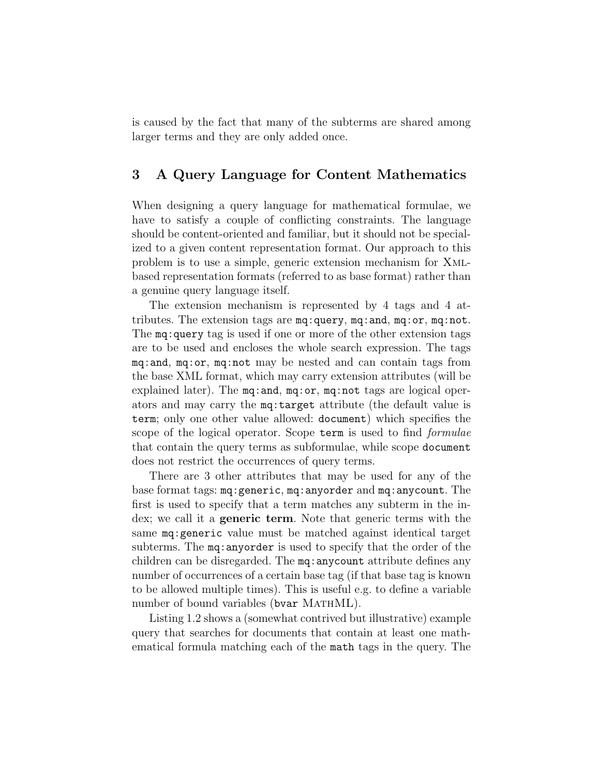is caused by the fact that many of the subterms are shared among larger terms and they are only added once.

# 3 A Query Language for Content Mathematics

When designing a query language for mathematical formulae, we have to satisfy a couple of conflicting constraints. The language should be content-oriented and familiar, but it should not be specialized to a given content representation format. Our approach to this problem is to use a simple, generic extension mechanism for Xmlbased representation formats (referred to as base format) rather than a genuine query language itself.

The extension mechanism is represented by 4 tags and 4 attributes. The extension tags are mq:query, mq:and, mq:or, mq:not. The mq:query tag is used if one or more of the other extension tags are to be used and encloses the whole search expression. The tags mq:and, mq:or, mq:not may be nested and can contain tags from the base XML format, which may carry extension attributes (will be explained later). The mq:and, mq:or, mq:not tags are logical operators and may carry the mq:target attribute (the default value is term; only one other value allowed: document) which specifies the scope of the logical operator. Scope term is used to find *formulae* that contain the query terms as subformulae, while scope document does not restrict the occurrences of query terms.

There are 3 other attributes that may be used for any of the base format tags: mq:generic, mq:anyorder and mq:anycount. The first is used to specify that a term matches any subterm in the index; we call it a generic term. Note that generic terms with the same mq:generic value must be matched against identical target subterms. The mq:anyorder is used to specify that the order of the children can be disregarded. The mq:anycount attribute defines any number of occurrences of a certain base tag (if that base tag is known to be allowed multiple times). This is useful e.g. to define a variable number of bound variables (bvar MATHML).

Listing 1.2 shows a (somewhat contrived but illustrative) example query that searches for documents that contain at least one mathematical formula matching each of the math tags in the query. The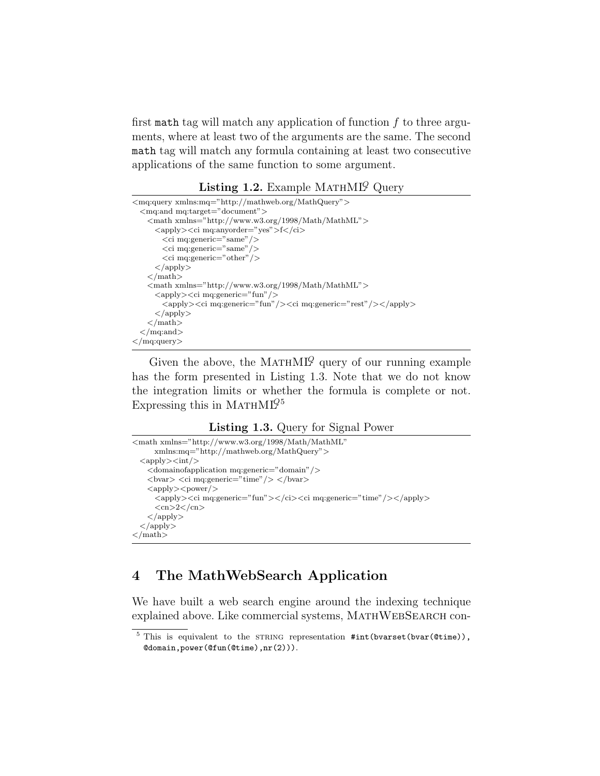first math tag will match any application of function  $f$  to three arguments, where at least two of the arguments are the same. The second math tag will match any formula containing at least two consecutive applications of the same function to some argument.

Listing 1.2. Example MATHML $\mathcal{Q}$  Query

| $\langle$ mq:query xmlns:mq="http://mathweb.org/MathQuery">                                                                                              |
|----------------------------------------------------------------------------------------------------------------------------------------------------------|
| $\langle$ mq:and mq:target="document">                                                                                                                   |
| $\langle \text{math mmhs} = \text{"http://www.w3.org/1998/Math/MathML"}\rangle$                                                                          |
| $\langle \text{apply}\rangle \langle \text{ci mq:anyorder} = "yes" \rangle f \langle \text{ci}\rangle$                                                   |
| $\langle$ ci mq:generic="same"/ $>$                                                                                                                      |
| $\langle$ ci mq:generic="same"/ $>$                                                                                                                      |
| $\langle$ ci mq:generic="other"/>                                                                                                                        |
| $\langle \text{apply} \rangle$                                                                                                                           |
| $\langle$ /math $\rangle$                                                                                                                                |
| $\langle \text{math mmhs} = \text{"http://www.w3.org/1998/Math/MathML"}\rangle$                                                                          |
| $\langle \text{apply}\rangle \langle \text{ci m}q:\text{generic}=\text{"fun"}\rangle$                                                                    |
| $\langle \text{apply}\rangle \langle \text{ci} \rangle$ mq:generic="fun"/> $\langle \text{ci} \rangle$ mq:generic="rest"/> $\langle \text{apply}\rangle$ |
| $\langle \text{apply} \rangle$                                                                                                                           |
| $\langle$ /math $\rangle$                                                                                                                                |
| $\langle$ /mq:and $\rangle$                                                                                                                              |
| $\langle$ /mq:query>                                                                                                                                     |

Given the above, the MATHML $\mathbb{Q}$  query of our running example has the form presented in Listing 1.3. Note that we do not know the integration limits or whether the formula is complete or not. Expressing this in MATHML<sup>Q5</sup>

Listing 1.3. Query for Signal Power

```
<math xmlns="http://www.w3.org/1998/Math/MathML"
    xmlns:mq="http://mathweb.org/MathQuery">
\langle \text{apply}\rangle \langle \text{int}\rangle<domainofapplication mq:generic="domain"/>
  \langlebvar>\langleci mq:generic="time"/>\langlebvar>\langle \text{apply}\rangle \langle \text{power/}\rangle<apply><ci mq:generic="fun"></ci><ci mq:generic="time"/></apply>
     <cn>2</cn>
  \langle /apply>
\langle/apply\rangle\langle/math\rangle
```
# 4 The MathWebSearch Application

We have built a web search engine around the indexing technique explained above. Like commercial systems, MATHWEBSEARCH con-

 $5$  This is equivalent to the STRING representation  $\#int(bvar(\text{otime}))$ , @domain,power(@fun(@time),nr(2))).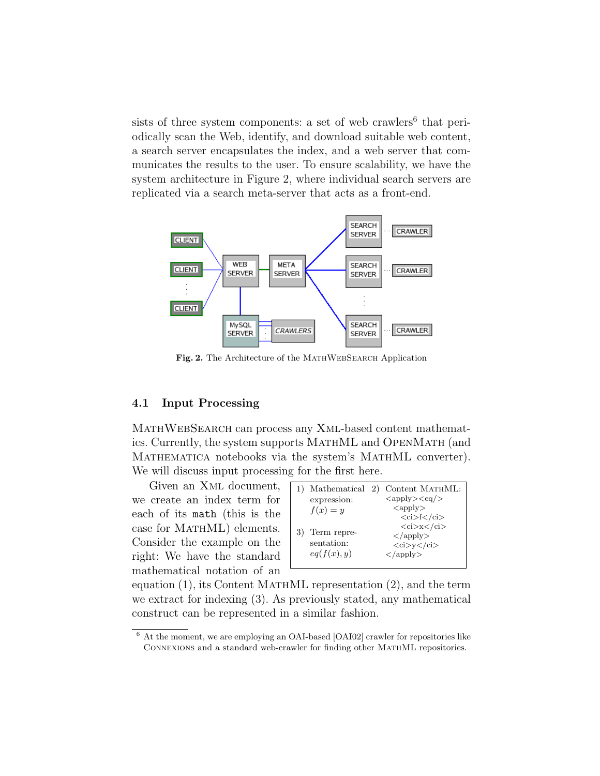sists of three system components: a set of web crawlers<sup>6</sup> that periodically scan the Web, identify, and download suitable web content, a search server encapsulates the index, and a web server that communicates the results to the user. To ensure scalability, we have the system architecture in Figure 2, where individual search servers are replicated via a search meta-server that acts as a front-end.



Fig. 2. The Architecture of the MATHWEBSEARCH Application

### 4.1 Input Processing

MATHWEBSEARCH can process any XML-based content mathematics. Currently, the system supports MATHML and OPENMATH (and MATHEMATICA notebooks via the system's MATHML converter). We will discuss input processing for the first here.

Given an Xml document, we create an index term for each of its math (this is the case for MATHML) elements. Consider the example on the right: We have the standard mathematical notation of an

|    | Mathematical | 2) | Content MATHML:                                        |
|----|--------------|----|--------------------------------------------------------|
|    | expression:  |    | $\langle \text{apply}\rangle \langle \text{eq}\rangle$ |
|    | $f(x) = y$   |    | $\langle \text{apply} \rangle$                         |
|    |              |    | $\langle ci \rangle f \langle ci \rangle$              |
|    |              |    | $\langle ci \rangle x \langle /ci \rangle$             |
| 3) | Term repre-  |    | $\langle \rangle$ apply                                |
|    | sentation:   |    | $\langle ci \rangle$ y $\langle ci \rangle$            |
|    | eq(f(x), y)  |    | $\langle \text{apply} \rangle$                         |
|    |              |    |                                                        |

equation  $(1)$ , its Content MATHML representation  $(2)$ , and the term we extract for indexing (3). As previously stated, any mathematical construct can be represented in a similar fashion.

 $6$  At the moment, we are employing an OAI-based [OAI02] crawler for repositories like CONNEXIONS and a standard web-crawler for finding other MATHML repositories.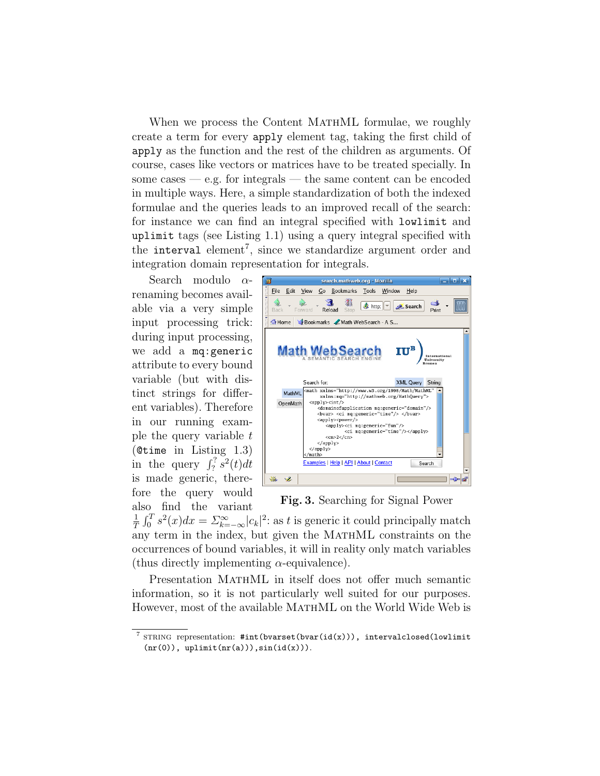When we process the Content MATHML formulae, we roughly create a term for every apply element tag, taking the first child of apply as the function and the rest of the children as arguments. Of course, cases like vectors or matrices have to be treated specially. In some cases  $-$  e.g. for integrals  $-$  the same content can be encoded in multiple ways. Here, a simple standardization of both the indexed formulae and the queries leads to an improved recall of the search: for instance we can find an integral specified with lowlimit and uplimit tags (see Listing 1.1) using a query integral specified with the interval element<sup>7</sup>, since we standardize argument order and integration domain representation for integrals.

Search modulo  $\alpha$ renaming becomes available via a very simple input processing trick: during input processing, we add a mq:generic attribute to every bound variable (but with distinct strings for different variables). Therefore in our running example the query variable t (@time in Listing 1.3) in the query  $\int_2^2 s^2(t) dt$ is made generic, therefore the query would also find the variant



Fig. 3. Searching for Signal Power

1  $\frac{1}{T} \int_0^T s^2(x) dx = \sum_{k=-\infty}^{\infty} |c_k|^2$ : as t is generic it could principally match any term in the index, but given the MATHML constraints on the occurrences of bound variables, it will in reality only match variables (thus directly implementing  $\alpha$ -equivalence).

Presentation MATHML in itself does not offer much semantic information, so it is not particularly well suited for our purposes. However, most of the available MATHML on the World Wide Web is

<sup>&</sup>lt;sup>7</sup> STRING representation: #int(bvarset(bvar(id(x))), intervalclosed(lowlimit  $(nr(0))$ , uplimit $(nr(a))$ , sin $(id(x))$ ).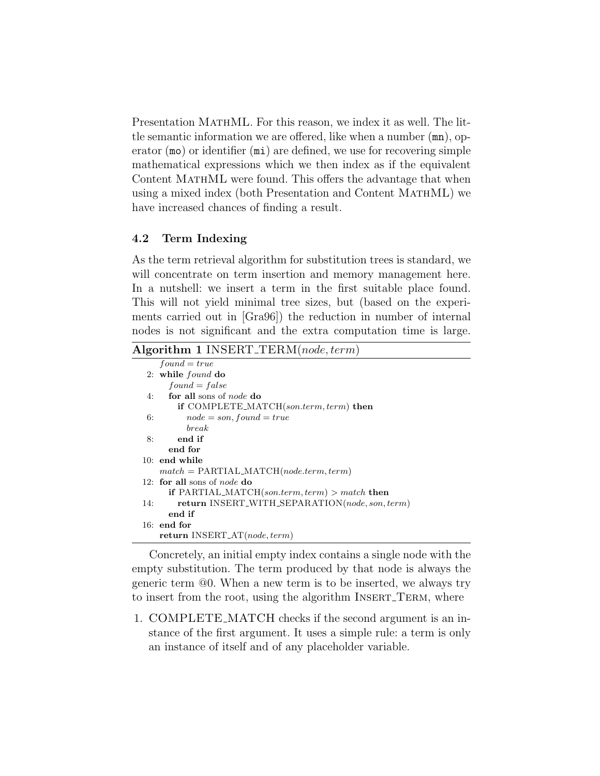Presentation MATHML. For this reason, we index it as well. The little semantic information we are offered, like when a number (mn), operator (mo) or identifier (mi) are defined, we use for recovering simple mathematical expressions which we then index as if the equivalent Content MATHML were found. This offers the advantage that when using a mixed index (both Presentation and Content MATHML) we have increased chances of finding a result.

### 4.2 Term Indexing

As the term retrieval algorithm for substitution trees is standard, we will concentrate on term insertion and memory management here. In a nutshell: we insert a term in the first suitable place found. This will not yield minimal tree sizes, but (based on the experiments carried out in [Gra96]) the reduction in number of internal nodes is not significant and the extra computation time is large.

| Algorithm 1 INSERT_TERM $(node, term)$ |                                                        |  |  |  |
|----------------------------------------|--------------------------------------------------------|--|--|--|
|                                        | $found = true$                                         |  |  |  |
|                                        | 2: while $found$ do                                    |  |  |  |
|                                        | $found = false$                                        |  |  |  |
| 4:                                     | for all sons of <i>node</i> do                         |  |  |  |
|                                        | if COMPLETE_MATCH $(son.term,term)$ then               |  |  |  |
| 6:                                     | $node = son, found = true$                             |  |  |  |
|                                        | break                                                  |  |  |  |
| 8:                                     | end if                                                 |  |  |  |
|                                        | end for                                                |  |  |  |
|                                        | $10:$ end while                                        |  |  |  |
|                                        | $match = PARTIAL_MATCH(node.term, term)$               |  |  |  |
|                                        | 12: for all sons of <i>node</i> do                     |  |  |  |
|                                        | <b>if</b> PARTIAL_MATCH(son.term, term) $>$ match then |  |  |  |
| 14:                                    | return INSERT_WITH_SEPARATION(node, son, term)         |  |  |  |
|                                        | end if                                                 |  |  |  |
|                                        | $16:$ end for                                          |  |  |  |
|                                        | return $INSERT_AT(node, term)$                         |  |  |  |

Concretely, an initial empty index contains a single node with the empty substitution. The term produced by that node is always the generic term @0. When a new term is to be inserted, we always try to insert from the root, using the algorithm INSERT\_TERM, where

1. COMPLETE MATCH checks if the second argument is an instance of the first argument. It uses a simple rule: a term is only an instance of itself and of any placeholder variable.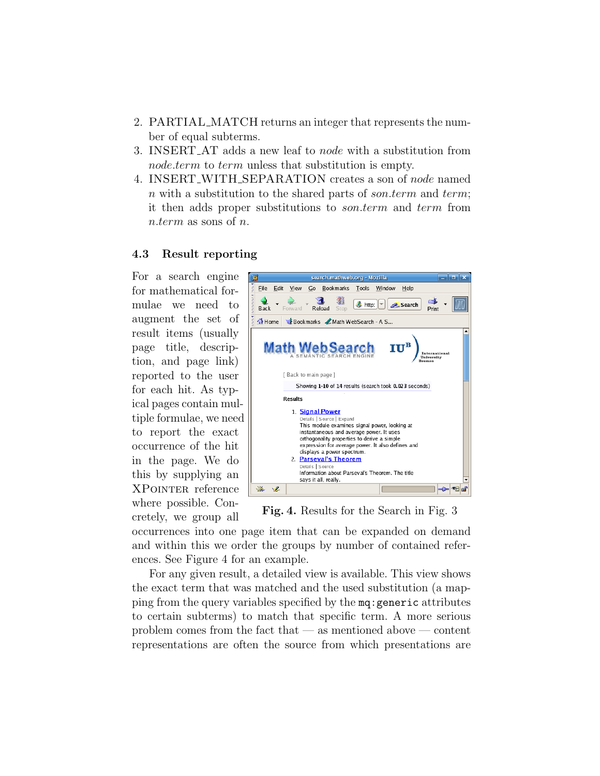- 2. PARTIAL MATCH returns an integer that represents the number of equal subterms.
- 3. INSERT AT adds a new leaf to node with a substitution from node.term to term unless that substitution is empty.
- 4. INSERT WITH SEPARATION creates a son of node named  $n$  with a substitution to the shared parts of *son.term* and *term*; it then adds proper substitutions to son.term and term from n.term as sons of n.

### 4.3 Result reporting

For a search engine for mathematical formulae we need to augment the set of result items (usually page title, description, and page link) reported to the user for each hit. As typical pages contain multiple formulae, we need to report the exact occurrence of the hit in the page. We do this by supplying an XPOINTER reference where possible. Concretely, we group all



Fig. 4. Results for the Search in Fig. 3

occurrences into one page item that can be expanded on demand and within this we order the groups by number of contained references. See Figure 4 for an example.

For any given result, a detailed view is available. This view shows the exact term that was matched and the used substitution (a mapping from the query variables specified by the mq:generic attributes to certain subterms) to match that specific term. A more serious problem comes from the fact that — as mentioned above — content representations are often the source from which presentations are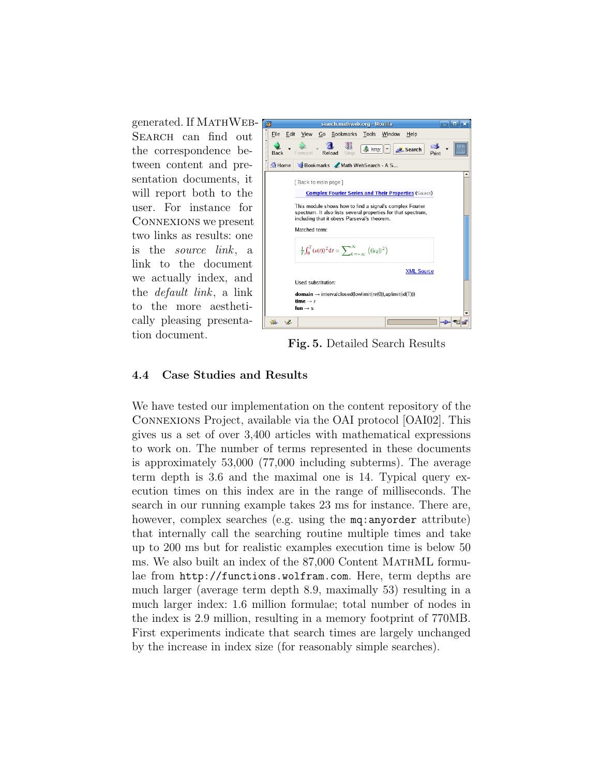generated. If MATHWEB-SEARCH can find out the correspondence between content and presentation documents, it will report both to the user. For instance for Connexions we present two links as results: one is the source link, a link to the document we actually index, and the default link, a link to the more aesthetically pleasing presentation document.



Fig. 5. Detailed Search Results

### 4.4 Case Studies and Results

We have tested our implementation on the content repository of the Connexions Project, available via the OAI protocol [OAI02]. This gives us a set of over 3,400 articles with mathematical expressions to work on. The number of terms represented in these documents is approximately 53,000 (77,000 including subterms). The average term depth is 3.6 and the maximal one is 14. Typical query execution times on this index are in the range of milliseconds. The search in our running example takes 23 ms for instance. There are, however, complex searches (e.g. using the mq:anyorder attribute) that internally call the searching routine multiple times and take up to 200 ms but for realistic examples execution time is below 50 ms. We also built an index of the  $87,000$  Content MATHML formulae from http://functions.wolfram.com. Here, term depths are much larger (average term depth 8.9, maximally 53) resulting in a much larger index: 1.6 million formulae; total number of nodes in the index is 2.9 million, resulting in a memory footprint of 770MB. First experiments indicate that search times are largely unchanged by the increase in index size (for reasonably simple searches).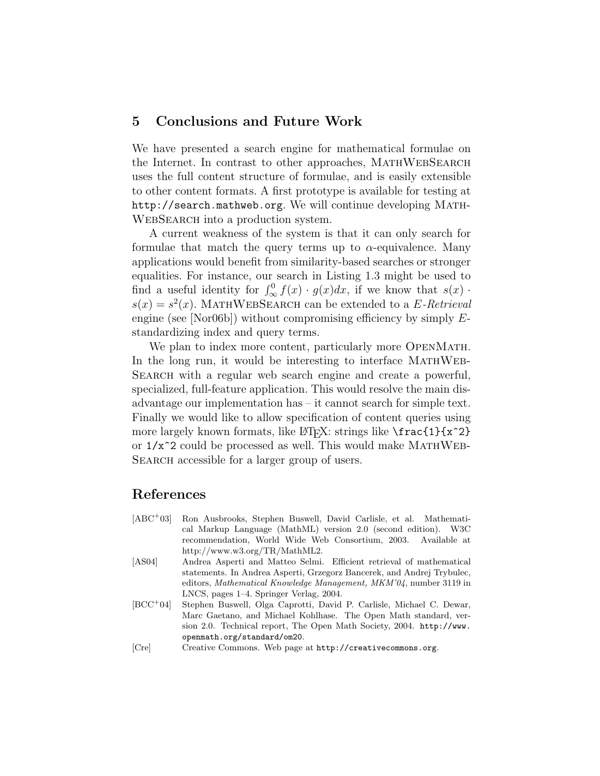### 5 Conclusions and Future Work

We have presented a search engine for mathematical formulae on the Internet. In contrast to other approaches, MATHWEBSEARCH uses the full content structure of formulae, and is easily extensible to other content formats. A first prototype is available for testing at http://search.mathweb.org. We will continue developing MATH-WEBSEARCH into a production system.

A current weakness of the system is that it can only search for formulae that match the query terms up to  $\alpha$ -equivalence. Many applications would benefit from similarity-based searches or stronger equalities. For instance, our search in Listing 1.3 might be used to find a useful identity for  $\int_{\infty}^{0} f(x) \cdot g(x) dx$ , if we know that  $s(x)$ .  $s(x) = s^2(x)$ . MATHWEBSEARCH can be extended to a E-Retrieval engine (see [Nor06b]) without compromising efficiency by simply  $E$ standardizing index and query terms.

We plan to index more content, particularly more OPENMATH. In the long run, it would be interesting to interface MATHWEB-Search with a regular web search engine and create a powerful, specialized, full-feature application. This would resolve the main disadvantage our implementation has – it cannot search for simple text. Finally we would like to allow specification of content queries using more largely known formats, like LAT<sub>EX</sub>: strings like  $\frac{1}{x^2}$ or  $1/x^2$  could be processed as well. This would make MATHWEB-SEARCH accessible for a larger group of users.

# References

- [ABC<sup>+</sup>03] Ron Ausbrooks, Stephen Buswell, David Carlisle, et al. Mathematical Markup Language (MathML) version 2.0 (second edition). W3C recommendation, World Wide Web Consortium, 2003. Available at http://www.w3.org/TR/MathML2.
- [AS04] Andrea Asperti and Matteo Selmi. Efficient retrieval of mathematical statements. In Andrea Asperti, Grzegorz Bancerek, and Andrej Trybulec, editors, Mathematical Knowledge Management, MKM'04, number 3119 in LNCS, pages 1–4. Springer Verlag, 2004.
- [BCC<sup>+</sup>04] Stephen Buswell, Olga Caprotti, David P. Carlisle, Michael C. Dewar, Marc Gaetano, and Michael Kohlhase. The Open Math standard, version 2.0. Technical report, The Open Math Society, 2004. http://www. openmath.org/standard/om20.
- [Cre] Creative Commons. Web page at http://creativecommons.org.